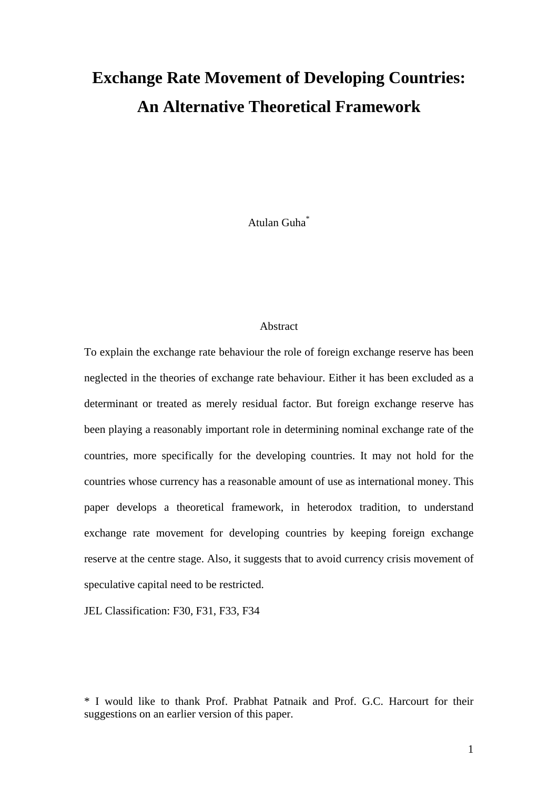# **Exchange Rate Movement of Developing Countries: An Alternative Theoretical Framework**

Atulan Guha\*

## Abstract

To explain the exchange rate behaviour the role of foreign exchange reserve has been neglected in the theories of exchange rate behaviour. Either it has been excluded as a determinant or treated as merely residual factor. But foreign exchange reserve has been playing a reasonably important role in determining nominal exchange rate of the countries, more specifically for the developing countries. It may not hold for the countries whose currency has a reasonable amount of use as international money. This paper develops a theoretical framework, in heterodox tradition, to understand exchange rate movement for developing countries by keeping foreign exchange reserve at the centre stage. Also, it suggests that to avoid currency crisis movement of speculative capital need to be restricted.

JEL Classification: F30, F31, F33, F34

<sup>\*</sup> I would like to thank Prof. Prabhat Patnaik and Prof. G.C. Harcourt for their suggestions on an earlier version of this paper.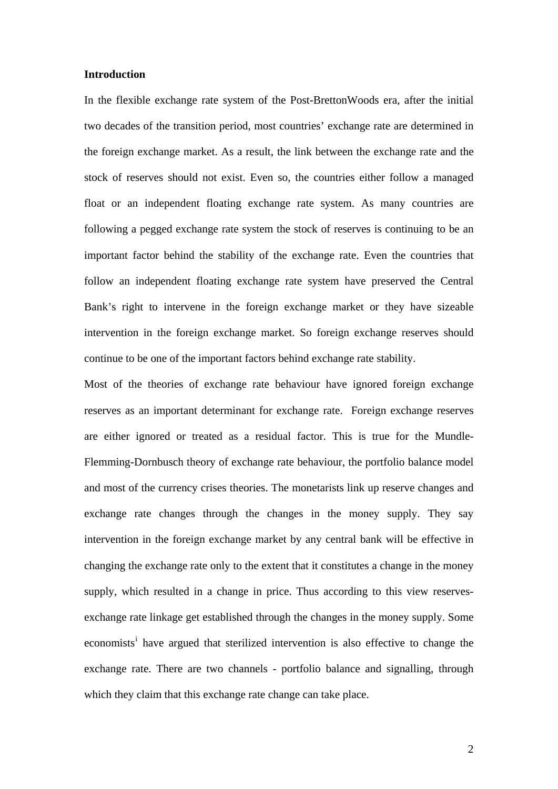### **Introduction**

In the flexible exchange rate system of the Post-BrettonWoods era, after the initial two decades of the transition period, most countries' exchange rate are determined in the foreign exchange market. As a result, the link between the exchange rate and the stock of reserves should not exist. Even so, the countries either follow a managed float or an independent floating exchange rate system. As many countries are following a pegged exchange rate system the stock of reserves is continuing to be an important factor behind the stability of the exchange rate. Even the countries that follow an independent floating exchange rate system have preserved the Central Bank's right to intervene in the foreign exchange market or they have sizeable intervention in the foreign exchange market. So foreign exchange reserves should continue to be one of the important factors behind exchange rate stability.

Most of the theories of exchange rate behaviour have ignored foreign exchange reserves as an important determinant for exchange rate. Foreign exchange reserves are either ignored or treated as a residual factor. This is true for the Mundle-Flemming-Dornbusch theory of exchange rate behaviour, the portfolio balance model and most of the currency crises theories. The monetarists link up reserve changes and exchange rate changes through the changes in the money supply. They say intervention in the foreign exchange market by any central bank will be effective in changing the exchange rate only to the extent that it constitutes a change in the money supply, which resulted in a change in price. Thus according to this view reservesexchange rate linkage get established through the changes in the money supply. Some econom[i](#page-17-0)sts<sup>i</sup> have argued that sterilized intervention is also effective to change the exchange rate. There are two channels - portfolio balance and signalling, through which they claim that this exchange rate change can take place.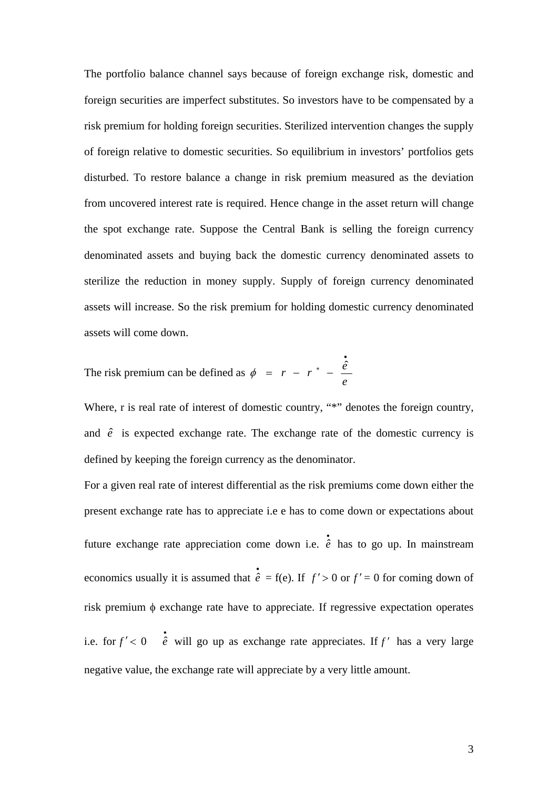The portfolio balance channel says because of foreign exchange risk, domestic and foreign securities are imperfect substitutes. So investors have to be compensated by a risk premium for holding foreign securities. Sterilized intervention changes the supply of foreign relative to domestic securities. So equilibrium in investors' portfolios gets disturbed. To restore balance a change in risk premium measured as the deviation from uncovered interest rate is required. Hence change in the asset return will change the spot exchange rate. Suppose the Central Bank is selling the foreign currency denominated assets and buying back the domestic currency denominated assets to sterilize the reduction in money supply. Supply of foreign currency denominated assets will increase. So the risk premium for holding domestic currency denominated assets will come down.

The risk premium can be defined as *e*  $r - r^* - \frac{e}{r}$  $\phi = r - r^* - \frac{\dot{\hat{e}}}{r}$ 

Where, r is real rate of interest of domestic country, "\*" denotes the foreign country, and  $\hat{e}$  is expected exchange rate. The exchange rate of the domestic currency is defined by keeping the foreign currency as the denominator.

For a given real rate of interest differential as the risk premiums come down either the present exchange rate has to appreciate i.e e has to come down or expectations about future exchange rate appreciation come down i.e.  $\dot{\hat{e}}$  has to go up. In mainstream economics usually it is assumed that  $\dot{\hat{e}} = f(e)$ . If  $f' > 0$  or  $f' = 0$  for coming down of risk premium φ exchange rate have to appreciate. If regressive expectation operates i.e. for  $f' < 0$   $\phi$  will go up as exchange rate appreciates. If f' has a very large negative value, the exchange rate will appreciate by a very little amount.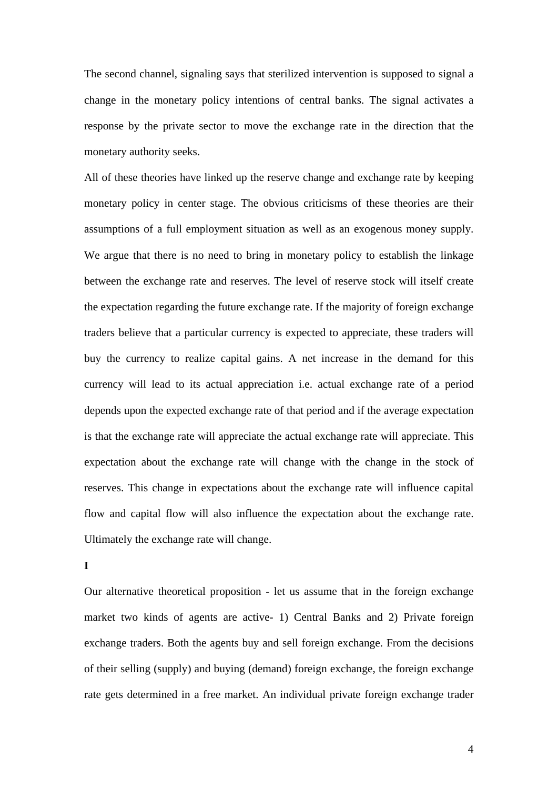The second channel, signaling says that sterilized intervention is supposed to signal a change in the monetary policy intentions of central banks. The signal activates a response by the private sector to move the exchange rate in the direction that the monetary authority seeks.

All of these theories have linked up the reserve change and exchange rate by keeping monetary policy in center stage. The obvious criticisms of these theories are their assumptions of a full employment situation as well as an exogenous money supply. We argue that there is no need to bring in monetary policy to establish the linkage between the exchange rate and reserves. The level of reserve stock will itself create the expectation regarding the future exchange rate. If the majority of foreign exchange traders believe that a particular currency is expected to appreciate, these traders will buy the currency to realize capital gains. A net increase in the demand for this currency will lead to its actual appreciation i.e. actual exchange rate of a period depends upon the expected exchange rate of that period and if the average expectation is that the exchange rate will appreciate the actual exchange rate will appreciate. This expectation about the exchange rate will change with the change in the stock of reserves. This change in expectations about the exchange rate will influence capital flow and capital flow will also influence the expectation about the exchange rate. Ultimately the exchange rate will change.

**I** 

Our alternative theoretical proposition - let us assume that in the foreign exchange market two kinds of agents are active- 1) Central Banks and 2) Private foreign exchange traders. Both the agents buy and sell foreign exchange. From the decisions of their selling (supply) and buying (demand) foreign exchange, the foreign exchange rate gets determined in a free market. An individual private foreign exchange trader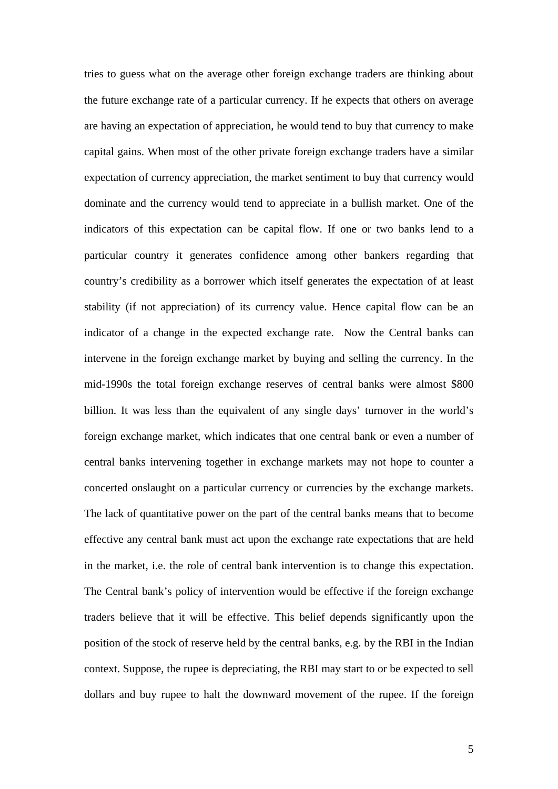tries to guess what on the average other foreign exchange traders are thinking about the future exchange rate of a particular currency. If he expects that others on average are having an expectation of appreciation, he would tend to buy that currency to make capital gains. When most of the other private foreign exchange traders have a similar expectation of currency appreciation, the market sentiment to buy that currency would dominate and the currency would tend to appreciate in a bullish market. One of the indicators of this expectation can be capital flow. If one or two banks lend to a particular country it generates confidence among other bankers regarding that country's credibility as a borrower which itself generates the expectation of at least stability (if not appreciation) of its currency value. Hence capital flow can be an indicator of a change in the expected exchange rate. Now the Central banks can intervene in the foreign exchange market by buying and selling the currency. In the mid-1990s the total foreign exchange reserves of central banks were almost \$800 billion. It was less than the equivalent of any single days' turnover in the world's foreign exchange market, which indicates that one central bank or even a number of central banks intervening together in exchange markets may not hope to counter a concerted onslaught on a particular currency or currencies by the exchange markets. The lack of quantitative power on the part of the central banks means that to become effective any central bank must act upon the exchange rate expectations that are held in the market, i.e. the role of central bank intervention is to change this expectation. The Central bank's policy of intervention would be effective if the foreign exchange traders believe that it will be effective. This belief depends significantly upon the position of the stock of reserve held by the central banks, e.g. by the RBI in the Indian context. Suppose, the rupee is depreciating, the RBI may start to or be expected to sell dollars and buy rupee to halt the downward movement of the rupee. If the foreign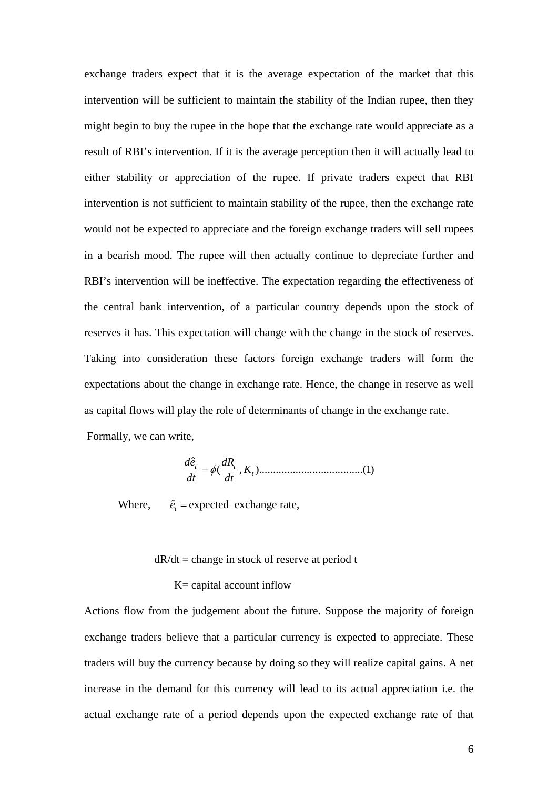exchange traders expect that it is the average expectation of the market that this intervention will be sufficient to maintain the stability of the Indian rupee, then they might begin to buy the rupee in the hope that the exchange rate would appreciate as a result of RBI's intervention. If it is the average perception then it will actually lead to either stability or appreciation of the rupee. If private traders expect that RBI intervention is not sufficient to maintain stability of the rupee, then the exchange rate would not be expected to appreciate and the foreign exchange traders will sell rupees in a bearish mood. The rupee will then actually continue to depreciate further and RBI's intervention will be ineffective. The expectation regarding the effectiveness of the central bank intervention, of a particular country depends upon the stock of reserves it has. This expectation will change with the change in the stock of reserves. Taking into consideration these factors foreign exchange traders will form the expectations about the change in exchange rate. Hence, the change in reserve as well as capital flows will play the role of determinants of change in the exchange rate. Formally, we can write,

).........,( .......... )1........(.......... <sup>ˆ</sup> *<sup>t</sup> <sup>t</sup> <sup>t</sup> K dt dR dt ed* <sup>=</sup> <sup>φ</sup>

Where,  $\hat{e}_t$  = expected exchange rate,

 $dR/dt$  = change in stock of reserve at period t

K= capital account inflow

Actions flow from the judgement about the future. Suppose the majority of foreign exchange traders believe that a particular currency is expected to appreciate. These traders will buy the currency because by doing so they will realize capital gains. A net increase in the demand for this currency will lead to its actual appreciation i.e. the actual exchange rate of a period depends upon the expected exchange rate of that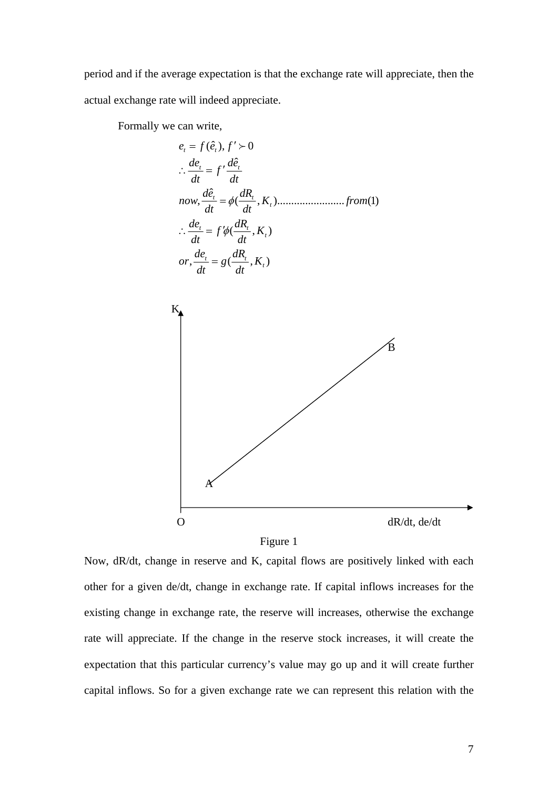period and if the average expectation is that the exchange rate will appreciate, then the actual exchange rate will indeed appreciate.

Formally we can write,





Now, dR/dt, change in reserve and K, capital flows are positively linked with each other for a given de/dt, change in exchange rate. If capital inflows increases for the existing change in exchange rate, the reserve will increases, otherwise the exchange rate will appreciate. If the change in the reserve stock increases, it will create the expectation that this particular currency's value may go up and it will create further capital inflows. So for a given exchange rate we can represent this relation with the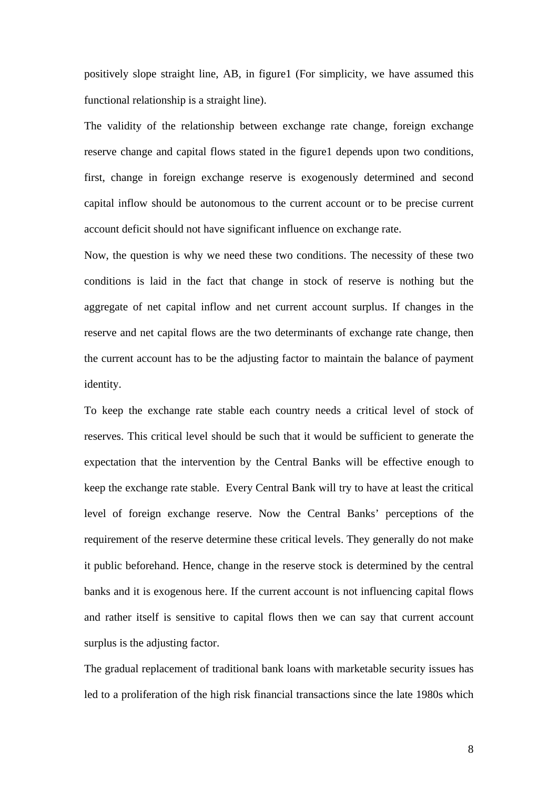positively slope straight line, AB, in figure1 (For simplicity, we have assumed this functional relationship is a straight line).

The validity of the relationship between exchange rate change, foreign exchange reserve change and capital flows stated in the figure1 depends upon two conditions, first, change in foreign exchange reserve is exogenously determined and second capital inflow should be autonomous to the current account or to be precise current account deficit should not have significant influence on exchange rate.

Now, the question is why we need these two conditions. The necessity of these two conditions is laid in the fact that change in stock of reserve is nothing but the aggregate of net capital inflow and net current account surplus. If changes in the reserve and net capital flows are the two determinants of exchange rate change, then the current account has to be the adjusting factor to maintain the balance of payment identity.

To keep the exchange rate stable each country needs a critical level of stock of reserves. This critical level should be such that it would be sufficient to generate the expectation that the intervention by the Central Banks will be effective enough to keep the exchange rate stable. Every Central Bank will try to have at least the critical level of foreign exchange reserve. Now the Central Banks' perceptions of the requirement of the reserve determine these critical levels. They generally do not make it public beforehand. Hence, change in the reserve stock is determined by the central banks and it is exogenous here. If the current account is not influencing capital flows and rather itself is sensitive to capital flows then we can say that current account surplus is the adjusting factor.

The gradual replacement of traditional bank loans with marketable security issues has led to a proliferation of the high risk financial transactions since the late 1980s which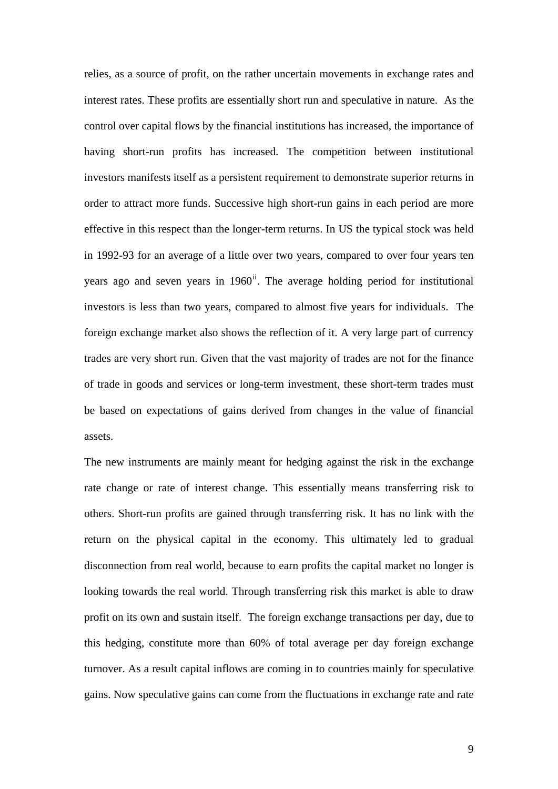relies, as a source of profit, on the rather uncertain movements in exchange rates and interest rates. These profits are essentially short run and speculative in nature. As the control over capital flows by the financial institutions has increased, the importance of having short-run profits has increased. The competition between institutional investors manifests itself as a persistent requirement to demonstrate superior returns in order to attract more funds. Successive high short-run gains in each period are more effective in this respect than the longer-term returns. In US the typical stock was held in 1992-93 for an average of a little over two years, compared to over four years ten years ago and seven years in  $1960^{\text{ii}}$  $1960^{\text{ii}}$  $1960^{\text{ii}}$ . The average holding period for institutional investors is less than two years, compared to almost five years for individuals. The foreign exchange market also shows the reflection of it. A very large part of currency trades are very short run. Given that the vast majority of trades are not for the finance of trade in goods and services or long-term investment, these short-term trades must be based on expectations of gains derived from changes in the value of financial assets.

The new instruments are mainly meant for hedging against the risk in the exchange rate change or rate of interest change. This essentially means transferring risk to others. Short-run profits are gained through transferring risk. It has no link with the return on the physical capital in the economy. This ultimately led to gradual disconnection from real world, because to earn profits the capital market no longer is looking towards the real world. Through transferring risk this market is able to draw profit on its own and sustain itself. The foreign exchange transactions per day, due to this hedging, constitute more than 60% of total average per day foreign exchange turnover. As a result capital inflows are coming in to countries mainly for speculative gains. Now speculative gains can come from the fluctuations in exchange rate and rate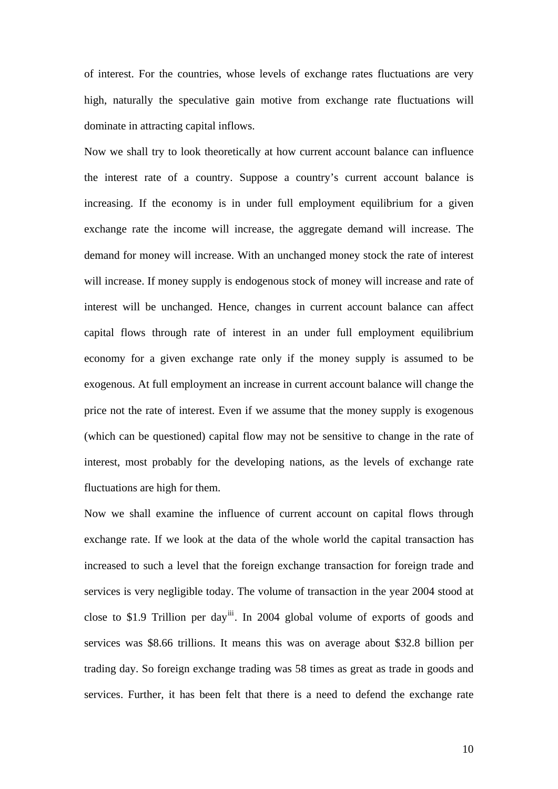of interest. For the countries, whose levels of exchange rates fluctuations are very high, naturally the speculative gain motive from exchange rate fluctuations will dominate in attracting capital inflows.

Now we shall try to look theoretically at how current account balance can influence the interest rate of a country. Suppose a country's current account balance is increasing. If the economy is in under full employment equilibrium for a given exchange rate the income will increase, the aggregate demand will increase. The demand for money will increase. With an unchanged money stock the rate of interest will increase. If money supply is endogenous stock of money will increase and rate of interest will be unchanged. Hence, changes in current account balance can affect capital flows through rate of interest in an under full employment equilibrium economy for a given exchange rate only if the money supply is assumed to be exogenous. At full employment an increase in current account balance will change the price not the rate of interest. Even if we assume that the money supply is exogenous (which can be questioned) capital flow may not be sensitive to change in the rate of interest, most probably for the developing nations, as the levels of exchange rate fluctuations are high for them.

Now we shall examine the influence of current account on capital flows through exchange rate. If we look at the data of the whole world the capital transaction has increased to such a level that the foreign exchange transaction for foreign trade and services is very negligible today. The volume of transaction in the year 2004 stood at close to \$1.9 Trillion per day<sup>[iii](#page-17-1)</sup>. In 2004 global volume of exports of goods and services was \$8.66 trillions. It means this was on average about \$32.8 billion per trading day. So foreign exchange trading was 58 times as great as trade in goods and services. Further, it has been felt that there is a need to defend the exchange rate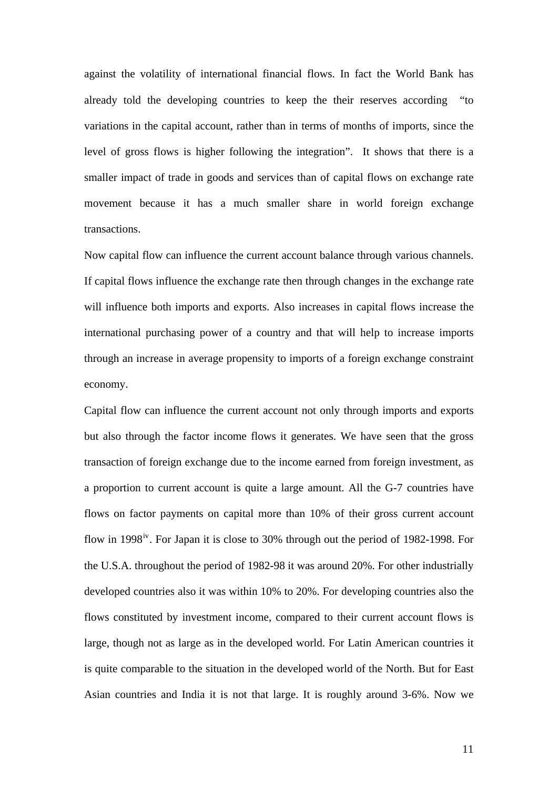against the volatility of international financial flows. In fact the World Bank has already told the developing countries to keep the their reserves according "to variations in the capital account, rather than in terms of months of imports, since the level of gross flows is higher following the integration". It shows that there is a smaller impact of trade in goods and services than of capital flows on exchange rate movement because it has a much smaller share in world foreign exchange transactions.

Now capital flow can influence the current account balance through various channels. If capital flows influence the exchange rate then through changes in the exchange rate will influence both imports and exports. Also increases in capital flows increase the international purchasing power of a country and that will help to increase imports through an increase in average propensity to imports of a foreign exchange constraint economy.

Capital flow can influence the current account not only through imports and exports but also through the factor income flows it generates. We have seen that the gross transaction of foreign exchange due to the income earned from foreign investment, as a proportion to current account is quite a large amount. All the G-7 countries have flows on factor payments on capital more than 10% of their gross current account flow in 1998<sup>[iv](#page-17-1)</sup>. For Japan it is close to 30% through out the period of 1982-1998. For the U.S.A. throughout the period of 1982-98 it was around 20%. For other industrially developed countries also it was within 10% to 20%. For developing countries also the flows constituted by investment income, compared to their current account flows is large, though not as large as in the developed world. For Latin American countries it is quite comparable to the situation in the developed world of the North. But for East Asian countries and India it is not that large. It is roughly around 3-6%. Now we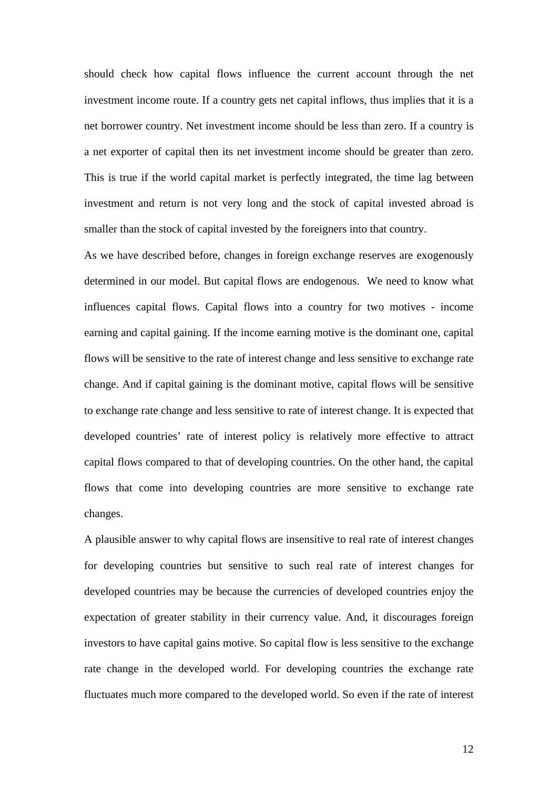should check how capital flows influence the current account through the net investment income route. If a country gets net capital inflows, thus implies that it is a net borrower country. Net investment income should be less than zero. If a country is a net exporter of capital then its net investment income should be greater than zero. This is true if the world capital market is perfectly integrated, the time lag between investment and return is not very long and the stock of capital invested abroad is smaller than the stock of capital invested by the foreigners into that country.

As we have described before, changes in foreign exchange reserves are exogenously determined in our model. But capital flows are endogenous. We need to know what influences capital flows. Capital flows into a country for two motives - income earning and capital gaining. If the income earning motive is the dominant one, capital flows will be sensitive to the rate of interest change and less sensitive to exchange rate change. And if capital gaining is the dominant motive, capital flows will be sensitive to exchange rate change and less sensitive to rate of interest change. It is expected that developed countries' rate of interest policy is relatively more effective to attract capital flows compared to that of developing countries. On the other hand, the capital flows that come into developing countries are more sensitive to exchange rate changes.

A plausible answer to why capital flows are insensitive to real rate of interest changes for developing countries but sensitive to such real rate of interest changes for developed countries may be because the currencies of developed countries enjoy the expectation of greater stability in their currency value. And, it discourages foreign investors to have capital gains motive. So capital flow is less sensitive to the exchange rate change in the developed world. For developing countries the exchange rate fluctuates much more compared to the developed world. So even if the rate of interest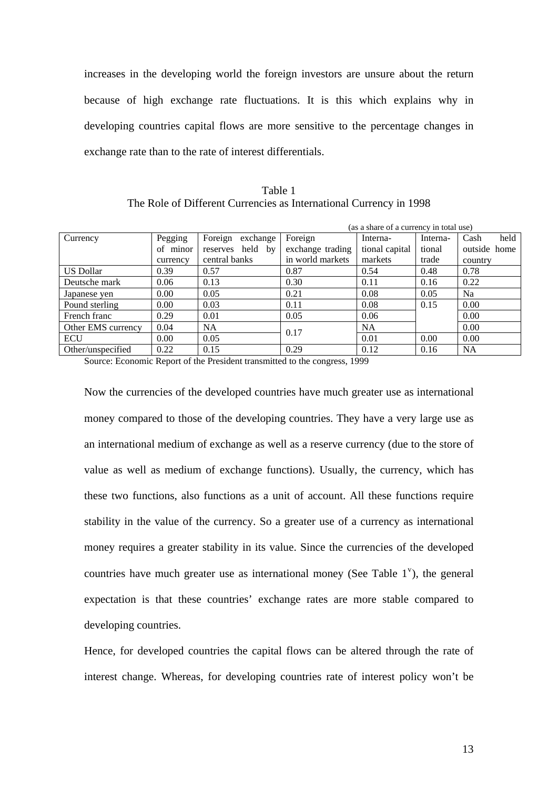increases in the developing world the foreign investors are unsure about the return because of high exchange rate fluctuations. It is this which explains why in developing countries capital flows are more sensitive to the percentage changes in exchange rate than to the rate of interest differentials.

| Table 1                                                            |
|--------------------------------------------------------------------|
| The Role of Different Currencies as International Currency in 1998 |

|                    |          |                     | (as a share of a currency in total use) |                |          |              |
|--------------------|----------|---------------------|-----------------------------------------|----------------|----------|--------------|
| Currency           | Pegging  | Foreign<br>exchange | Foreign                                 | Interna-       | Interna- | held<br>Cash |
|                    | of minor | reserves held by    | exchange trading                        | tional capital | tional   | outside home |
|                    | currency | central banks       | in world markets                        | markets        | trade    | country      |
| <b>US Dollar</b>   | 0.39     | 0.57                | 0.87                                    | 0.54           | 0.48     | 0.78         |
| Deutsche mark      | 0.06     | 0.13                | 0.30                                    | 0.11           | 0.16     | 0.22         |
| Japanese yen       | 0.00     | 0.05                | 0.21                                    | 0.08           | 0.05     | Na           |
| Pound sterling     | 0.00     | 0.03                | 0.11                                    | 0.08           | 0.15     | 0.00         |
| French franc       | 0.29     | 0.01                | 0.05                                    | 0.06           |          | 0.00         |
| Other EMS currency | 0.04     | <b>NA</b>           | 0.17                                    | <b>NA</b>      |          | 0.00         |
| ECU                | 0.00     | 0.05                |                                         | 0.01           | 0.00     | 0.00         |
| Other/unspecified  | 0.22     | 0.15                | 0.29                                    | 0.12           | 0.16     | <b>NA</b>    |

Source: Economic Report of the President transmitted to the congress, 1999

Now the currencies of the developed countries have much greater use as international money compared to those of the developing countries. They have a very large use as an international medium of exchange as well as a reserve currency (due to the store of value as well as medium of exchange functions). Usually, the currency, which has these two functions, also functions as a unit of account. All these functions require stability in the value of the currency. So a greater use of a currency as international money requires a greater stability in its value. Since the currencies of the developed countries ha[v](#page-17-1)e much greater use as international money (See Table  $1^{\nu}$ ), the general expectation is that these countries' exchange rates are more stable compared to developing countries.

Hence, for developed countries the capital flows can be altered through the rate of interest change. Whereas, for developing countries rate of interest policy won't be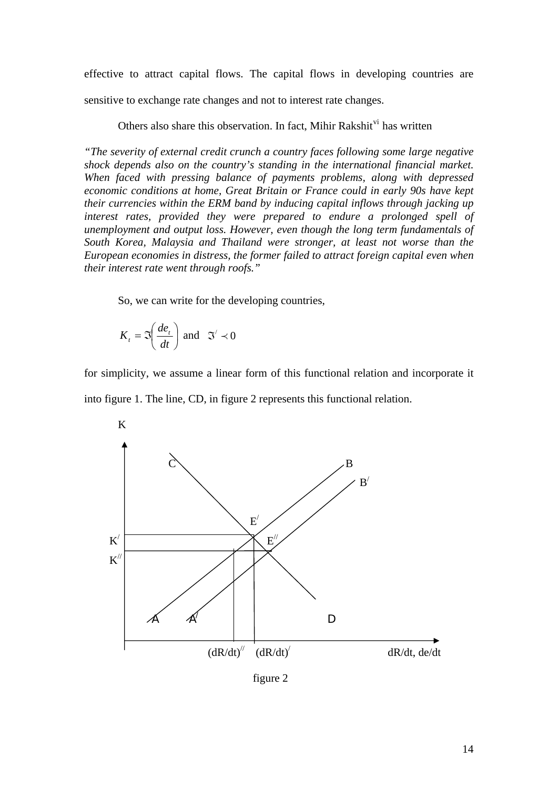effective to attract capital flows. The capital flows in developing countries are sensitive to exchange rate changes and not to interest rate changes.

Others also share this observation. In fact, Mihir Rakshit<sup>[vi](#page-17-1)</sup> has written

*"The severity of external credit crunch a country faces following some large negative shock depends also on the country's standing in the international financial market. When faced with pressing balance of payments problems, along with depressed economic conditions at home, Great Britain or France could in early 90s have kept their currencies within the ERM band by inducing capital inflows through jacking up*  interest rates, provided they were prepared to endure a prolonged spell of *unemployment and output loss. However, even though the long term fundamentals of South Korea, Malaysia and Thailand were stronger, at least not worse than the European economies in distress, the former failed to attract foreign capital even when their interest rate went through roofs."* 

So, we can write for the developing countries,

$$
K_t = \Im\left(\frac{de_t}{dt}\right) \text{ and } \Im' \prec 0
$$

for simplicity, we assume a linear form of this functional relation and incorporate it into figure 1. The line, CD, in figure 2 represents this functional relation.



figure 2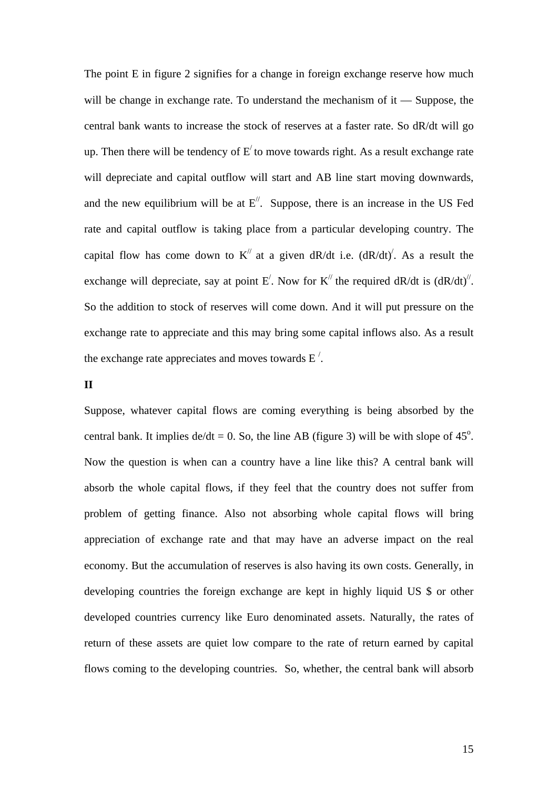The point E in figure 2 signifies for a change in foreign exchange reserve how much will be change in exchange rate. To understand the mechanism of it — Suppose, the central bank wants to increase the stock of reserves at a faster rate. So dR/dt will go up. Then there will be tendency of  $E'$  to move towards right. As a result exchange rate will depreciate and capital outflow will start and AB line start moving downwards, and the new equilibrium will be at  $E^{\prime\prime}$ . Suppose, there is an increase in the US Fed rate and capital outflow is taking place from a particular developing country. The capital flow has come down to  $K^{\prime\prime}$  at a given dR/dt i.e. (dR/dt)<sup>'</sup>. As a result the exchange will depreciate, say at point E'. Now for  $K^{\prime\prime}$  the required dR/dt is  $(dR/dt)^{\prime\prime}$ . So the addition to stock of reserves will come down. And it will put pressure on the exchange rate to appreciate and this may bring some capital inflows also. As a result the exchange rate appreciates and moves towards  $E^{\prime}$ .

## **II**

Suppose, whatever capital flows are coming everything is being absorbed by the central bank. It implies  $de/dt = 0$ . So, the line AB (figure 3) will be with slope of  $45^{\circ}$ . Now the question is when can a country have a line like this? A central bank will absorb the whole capital flows, if they feel that the country does not suffer from problem of getting finance. Also not absorbing whole capital flows will bring appreciation of exchange rate and that may have an adverse impact on the real economy. But the accumulation of reserves is also having its own costs. Generally, in developing countries the foreign exchange are kept in highly liquid US \$ or other developed countries currency like Euro denominated assets. Naturally, the rates of return of these assets are quiet low compare to the rate of return earned by capital flows coming to the developing countries. So, whether, the central bank will absorb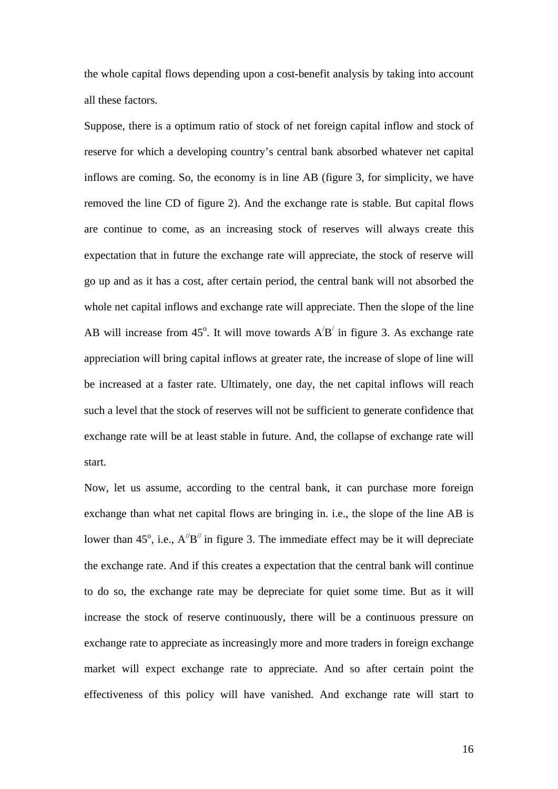the whole capital flows depending upon a cost-benefit analysis by taking into account all these factors.

Suppose, there is a optimum ratio of stock of net foreign capital inflow and stock of reserve for which a developing country's central bank absorbed whatever net capital inflows are coming. So, the economy is in line AB (figure 3, for simplicity, we have removed the line CD of figure 2). And the exchange rate is stable. But capital flows are continue to come, as an increasing stock of reserves will always create this expectation that in future the exchange rate will appreciate, the stock of reserve will go up and as it has a cost, after certain period, the central bank will not absorbed the whole net capital inflows and exchange rate will appreciate. Then the slope of the line AB will increase from 45<sup>o</sup>. It will move towards  $A'B'$  in figure 3. As exchange rate appreciation will bring capital inflows at greater rate, the increase of slope of line will be increased at a faster rate. Ultimately, one day, the net capital inflows will reach such a level that the stock of reserves will not be sufficient to generate confidence that exchange rate will be at least stable in future. And, the collapse of exchange rate will start.

Now, let us assume, according to the central bank, it can purchase more foreign exchange than what net capital flows are bringing in. i.e., the slope of the line AB is lower than 45<sup>o</sup>, i.e.,  $A^{\prime\prime}B^{\prime\prime}$  in figure 3. The immediate effect may be it will depreciate the exchange rate. And if this creates a expectation that the central bank will continue to do so, the exchange rate may be depreciate for quiet some time. But as it will increase the stock of reserve continuously, there will be a continuous pressure on exchange rate to appreciate as increasingly more and more traders in foreign exchange market will expect exchange rate to appreciate. And so after certain point the effectiveness of this policy will have vanished. And exchange rate will start to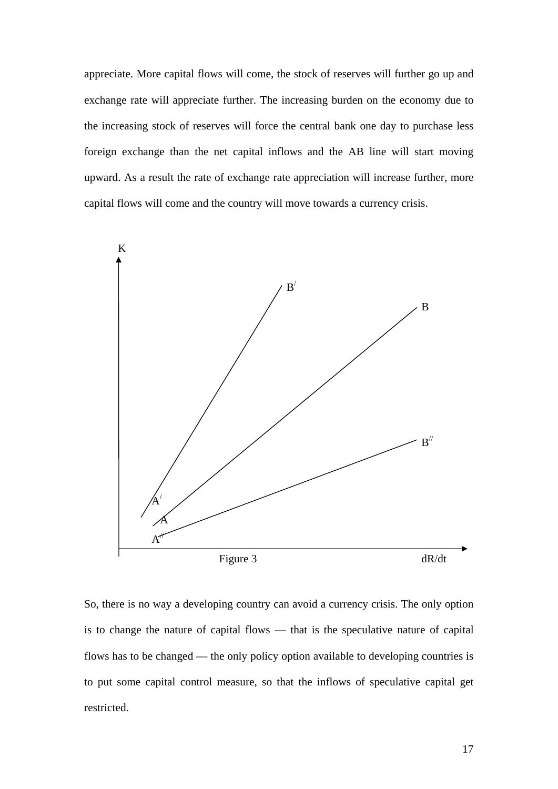appreciate. More capital flows will come, the stock of reserves will further go up and exchange rate will appreciate further. The increasing burden on the economy due to the increasing stock of reserves will force the central bank one day to purchase less foreign exchange than the net capital inflows and the AB line will start moving upward. As a result the rate of exchange rate appreciation will increase further, more capital flows will come and the country will move towards a currency crisis.



So, there is no way a developing country can avoid a currency crisis. The only option is to change the nature of capital flows — that is the speculative nature of capital flows has to be changed — the only policy option available to developing countries is to put some capital control measure, so that the inflows of speculative capital get restricted.